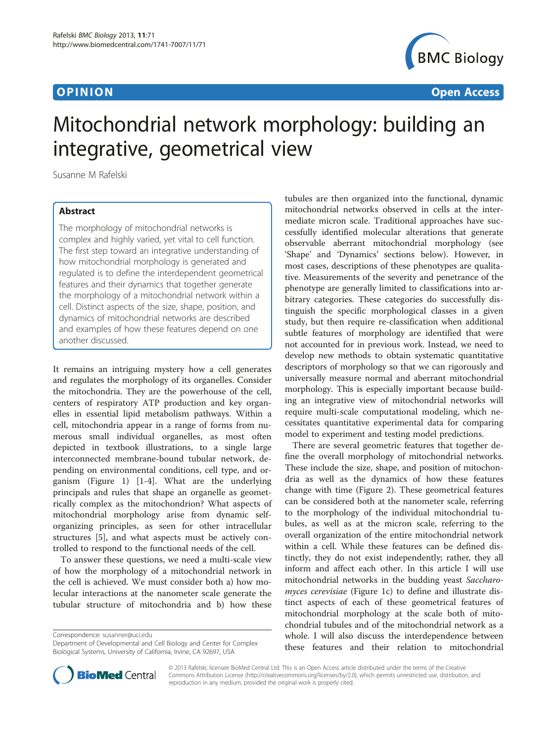

**OPINION** CONSULTANT CONTINUES IN THE CONSULTANT OF CONSULTANT CONTINUES IN THE CONSULTANT OPEN ACCESS OPEN ACCESS

# Mitochondrial network morphology: building an integrative, geometrical view

Susanne M Rafelski

# Abstract

The morphology of mitochondrial networks is complex and highly varied, yet vital to cell function. The first step toward an integrative understanding of how mitochondrial morphology is generated and regulated is to define the interdependent geometrical features and their dynamics that together generate the morphology of a mitochondrial network within a cell. Distinct aspects of the size, shape, position, and dynamics of mitochondrial networks are described and examples of how these features depend on one another discussed.

It remains an intriguing mystery how a cell generates and regulates the morphology of its organelles. Consider the mitochondria. They are the powerhouse of the cell, centers of respiratory ATP production and key organelles in essential lipid metabolism pathways. Within a cell, mitochondria appear in a range of forms from numerous small individual organelles, as most often depicted in textbook illustrations, to a single large interconnected membrane-bound tubular network, depending on environmental conditions, cell type, and organism (Figure [1](#page-1-0)) [\[1-4](#page-6-0)]. What are the underlying principals and rules that shape an organelle as geometrically complex as the mitochondrion? What aspects of mitochondrial morphology arise from dynamic selforganizing principles, as seen for other intracellular structures [\[5](#page-6-0)], and what aspects must be actively controlled to respond to the functional needs of the cell.

To answer these questions, we need a multi-scale view of how the morphology of a mitochondrial network in the cell is achieved. We must consider both a) how molecular interactions at the nanometer scale generate the tubular structure of mitochondria and b) how these

Correspondence: [susanner@uci.edu](mailto:susanner@uci.edu)

Department of Developmental and Cell Biology and Center for Complex Biological Systems, University of California, Irvine, CA 92697, USA

tubules are then organized into the functional, dynamic mitochondrial networks observed in cells at the intermediate micron scale. Traditional approaches have successfully identified molecular alterations that generate observable aberrant mitochondrial morphology (see 'Shape' and 'Dynamics' sections below). However, in most cases, descriptions of these phenotypes are qualitative. Measurements of the severity and penetrance of the phenotype are generally limited to classifications into arbitrary categories. These categories do successfully distinguish the specific morphological classes in a given study, but then require re-classification when additional subtle features of morphology are identified that were not accounted for in previous work. Instead, we need to develop new methods to obtain systematic quantitative descriptors of morphology so that we can rigorously and universally measure normal and aberrant mitochondrial morphology. This is especially important because building an integrative view of mitochondrial networks will require multi-scale computational modeling, which necessitates quantitative experimental data for comparing model to experiment and testing model predictions.

There are several geometric features that together define the overall morphology of mitochondrial networks. These include the size, shape, and position of mitochondria as well as the dynamics of how these features change with time (Figure [2](#page-2-0)). These geometrical features can be considered both at the nanometer scale, referring to the morphology of the individual mitochondrial tubules, as well as at the micron scale, referring to the overall organization of the entire mitochondrial network within a cell. While these features can be defined distinctly, they do not exist independently; rather, they all inform and affect each other. In this article I will use mitochondrial networks in the budding yeast Saccharomyces cerevisiae (Figure [1c](#page-1-0)) to define and illustrate distinct aspects of each of these geometrical features of mitochondrial morphology at the scale both of mitochondrial tubules and of the mitochondrial network as a whole. I will also discuss the interdependence between these features and their relation to mitochondrial



© 2013 Rafelski; licensee BioMed Central Ltd. This is an Open Access article distributed under the terms of the Creative Commons Attribution License [\(http://creativecommons.org/licenses/by/2.0\)](http://creativecommons.org/licenses/by/2.0), which permits unrestricted use, distribution, and reproduction in any medium, provided the original work is properly cited.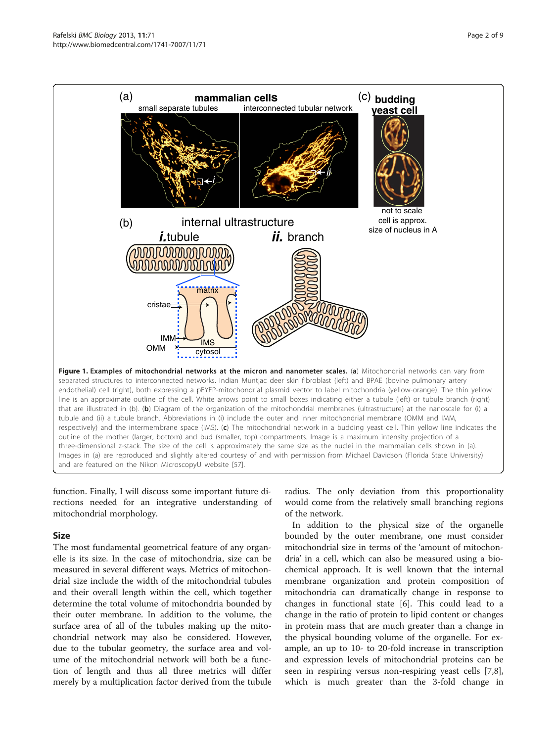<span id="page-1-0"></span>

function. Finally, I will discuss some important future directions needed for an integrative understanding of mitochondrial morphology.

#### Size

The most fundamental geometrical feature of any organelle is its size. In the case of mitochondria, size can be measured in several different ways. Metrics of mitochondrial size include the width of the mitochondrial tubules and their overall length within the cell, which together determine the total volume of mitochondria bounded by their outer membrane. In addition to the volume, the surface area of all of the tubules making up the mitochondrial network may also be considered. However, due to the tubular geometry, the surface area and volume of the mitochondrial network will both be a function of length and thus all three metrics will differ merely by a multiplication factor derived from the tubule radius. The only deviation from this proportionality would come from the relatively small branching regions of the network.

In addition to the physical size of the organelle bounded by the outer membrane, one must consider mitochondrial size in terms of the 'amount of mitochondria' in a cell, which can also be measured using a biochemical approach. It is well known that the internal membrane organization and protein composition of mitochondria can dramatically change in response to changes in functional state [[6\]](#page-6-0). This could lead to a change in the ratio of protein to lipid content or changes in protein mass that are much greater than a change in the physical bounding volume of the organelle. For example, an up to 10- to 20-fold increase in transcription and expression levels of mitochondrial proteins can be seen in respiring versus non-respiring yeast cells [\[7](#page-6-0)[,8](#page-7-0)], which is much greater than the 3-fold change in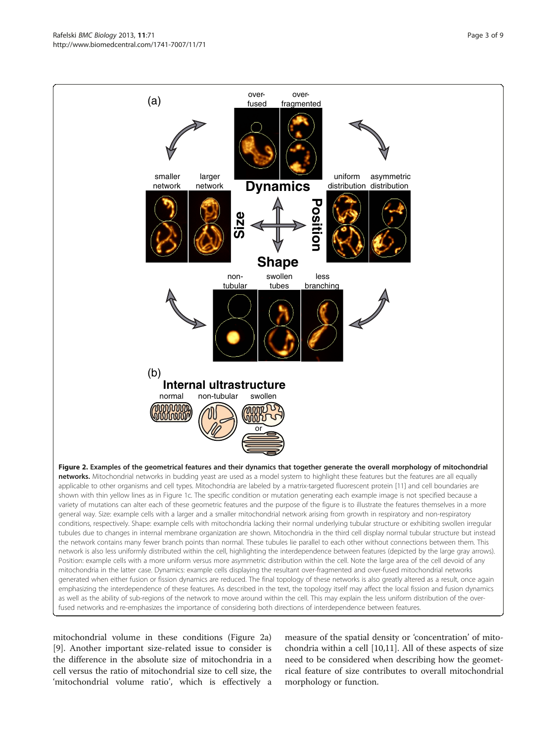<span id="page-2-0"></span>

mitochondrial volume in these conditions (Figure 2a) [[9\]](#page-7-0). Another important size-related issue to consider is the difference in the absolute size of mitochondria in a cell versus the ratio of mitochondrial size to cell size, the 'mitochondrial volume ratio', which is effectively a measure of the spatial density or 'concentration' of mitochondria within a cell [\[10,11\]](#page-7-0). All of these aspects of size need to be considered when describing how the geometrical feature of size contributes to overall mitochondrial morphology or function.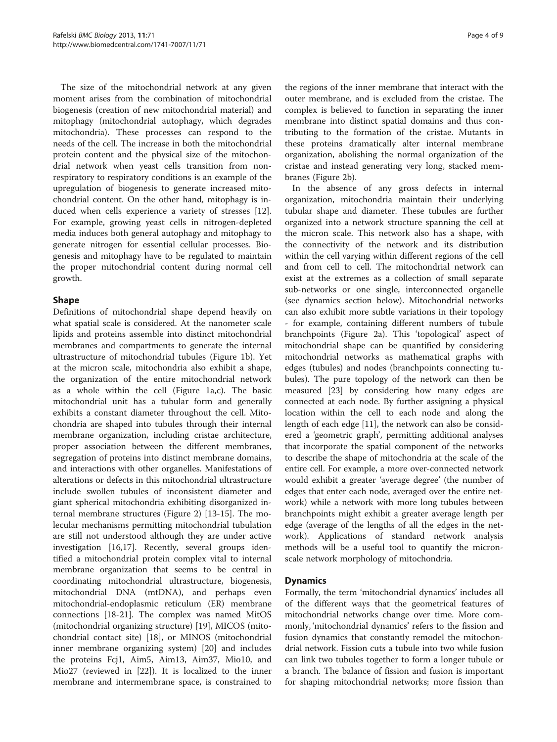The size of the mitochondrial network at any given moment arises from the combination of mitochondrial biogenesis (creation of new mitochondrial material) and mitophagy (mitochondrial autophagy, which degrades mitochondria). These processes can respond to the needs of the cell. The increase in both the mitochondrial protein content and the physical size of the mitochondrial network when yeast cells transition from nonrespiratory to respiratory conditions is an example of the upregulation of biogenesis to generate increased mitochondrial content. On the other hand, mitophagy is induced when cells experience a variety of stresses [\[12](#page-7-0)]. For example, growing yeast cells in nitrogen-depleted media induces both general autophagy and mitophagy to generate nitrogen for essential cellular processes. Biogenesis and mitophagy have to be regulated to maintain the proper mitochondrial content during normal cell growth.

### Shape

Definitions of mitochondrial shape depend heavily on what spatial scale is considered. At the nanometer scale lipids and proteins assemble into distinct mitochondrial membranes and compartments to generate the internal ultrastructure of mitochondrial tubules (Figure [1](#page-1-0)b). Yet at the micron scale, mitochondria also exhibit a shape, the organization of the entire mitochondrial network as a whole within the cell (Figure [1a](#page-1-0),c). The basic mitochondrial unit has a tubular form and generally exhibits a constant diameter throughout the cell. Mitochondria are shaped into tubules through their internal membrane organization, including cristae architecture, proper association between the different membranes, segregation of proteins into distinct membrane domains, and interactions with other organelles. Manifestations of alterations or defects in this mitochondrial ultrastructure include swollen tubules of inconsistent diameter and giant spherical mitochondria exhibiting disorganized internal membrane structures (Figure [2](#page-2-0)) [\[13-15](#page-7-0)]. The molecular mechanisms permitting mitochondrial tubulation are still not understood although they are under active investigation [\[16,17\]](#page-7-0). Recently, several groups identified a mitochondrial protein complex vital to internal membrane organization that seems to be central in coordinating mitochondrial ultrastructure, biogenesis, mitochondrial DNA (mtDNA), and perhaps even mitochondrial-endoplasmic reticulum (ER) membrane connections [\[18](#page-7-0)-[21\]](#page-7-0). The complex was named MitOS (mitochondrial organizing structure) [\[19](#page-7-0)], MICOS (mitochondrial contact site) [\[18](#page-7-0)], or MINOS (mitochondrial inner membrane organizing system) [[20\]](#page-7-0) and includes the proteins Fcj1, Aim5, Aim13, Aim37, Mio10, and Mio27 (reviewed in [[22](#page-7-0)]). It is localized to the inner membrane and intermembrane space, is constrained to the regions of the inner membrane that interact with the outer membrane, and is excluded from the cristae. The complex is believed to function in separating the inner membrane into distinct spatial domains and thus contributing to the formation of the cristae. Mutants in these proteins dramatically alter internal membrane organization, abolishing the normal organization of the cristae and instead generating very long, stacked membranes (Figure [2](#page-2-0)b).

In the absence of any gross defects in internal organization, mitochondria maintain their underlying tubular shape and diameter. These tubules are further organized into a network structure spanning the cell at the micron scale. This network also has a shape, with the connectivity of the network and its distribution within the cell varying within different regions of the cell and from cell to cell. The mitochondrial network can exist at the extremes as a collection of small separate sub-networks or one single, interconnected organelle (see dynamics section below). Mitochondrial networks can also exhibit more subtle variations in their topology - for example, containing different numbers of tubule branchpoints (Figure [2](#page-2-0)a). This 'topological' aspect of mitochondrial shape can be quantified by considering mitochondrial networks as mathematical graphs with edges (tubules) and nodes (branchpoints connecting tubules). The pure topology of the network can then be measured [\[23\]](#page-7-0) by considering how many edges are connected at each node. By further assigning a physical location within the cell to each node and along the length of each edge [\[11\]](#page-7-0), the network can also be considered a 'geometric graph', permitting additional analyses that incorporate the spatial component of the networks to describe the shape of mitochondria at the scale of the entire cell. For example, a more over-connected network would exhibit a greater 'average degree' (the number of edges that enter each node, averaged over the entire network) while a network with more long tubules between branchpoints might exhibit a greater average length per edge (average of the lengths of all the edges in the network). Applications of standard network analysis methods will be a useful tool to quantify the micronscale network morphology of mitochondria.

#### Dynamics

Formally, the term 'mitochondrial dynamics' includes all of the different ways that the geometrical features of mitochondrial networks change over time. More commonly, 'mitochondrial dynamics' refers to the fission and fusion dynamics that constantly remodel the mitochondrial network. Fission cuts a tubule into two while fusion can link two tubules together to form a longer tubule or a branch. The balance of fission and fusion is important for shaping mitochondrial networks; more fission than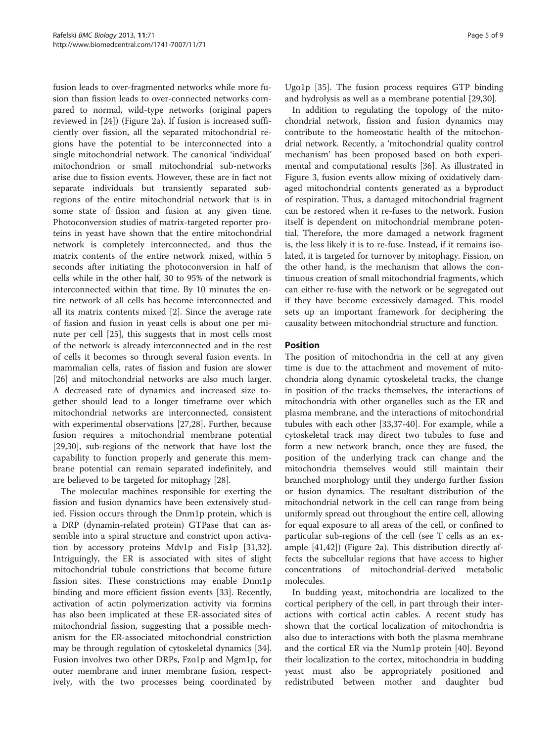fusion leads to over-fragmented networks while more fusion than fission leads to over-connected networks compared to normal, wild-type networks (original papers reviewed in [[24](#page-7-0)]) (Figure [2](#page-2-0)a). If fusion is increased sufficiently over fission, all the separated mitochondrial regions have the potential to be interconnected into a single mitochondrial network. The canonical 'individual' mitochondrion or small mitochondrial sub-networks arise due to fission events. However, these are in fact not separate individuals but transiently separated subregions of the entire mitochondrial network that is in some state of fission and fusion at any given time. Photoconversion studies of matrix-targeted reporter proteins in yeast have shown that the entire mitochondrial network is completely interconnected, and thus the matrix contents of the entire network mixed, within 5 seconds after initiating the photoconversion in half of cells while in the other half, 30 to 95% of the network is interconnected within that time. By 10 minutes the entire network of all cells has become interconnected and all its matrix contents mixed [[2\]](#page-6-0). Since the average rate of fission and fusion in yeast cells is about one per minute per cell [\[25\]](#page-7-0), this suggests that in most cells most of the network is already interconnected and in the rest of cells it becomes so through several fusion events. In mammalian cells, rates of fission and fusion are slower [[26\]](#page-7-0) and mitochondrial networks are also much larger. A decreased rate of dynamics and increased size together should lead to a longer timeframe over which mitochondrial networks are interconnected, consistent with experimental observations [[27](#page-7-0),[28](#page-7-0)]. Further, because fusion requires a mitochondrial membrane potential [[29,30\]](#page-7-0), sub-regions of the network that have lost the capability to function properly and generate this membrane potential can remain separated indefinitely, and are believed to be targeted for mitophagy [[28\]](#page-7-0).

The molecular machines responsible for exerting the fission and fusion dynamics have been extensively studied. Fission occurs through the Dnm1p protein, which is a DRP (dynamin-related protein) GTPase that can assemble into a spiral structure and constrict upon activation by accessory proteins Mdv1p and Fis1p [\[31,32](#page-7-0)]. Intriguingly, the ER is associated with sites of slight mitochondrial tubule constrictions that become future fission sites. These constrictions may enable Dnm1p binding and more efficient fission events [[33](#page-7-0)]. Recently, activation of actin polymerization activity via formins has also been implicated at these ER-associated sites of mitochondrial fission, suggesting that a possible mechanism for the ER-associated mitochondrial constriction may be through regulation of cytoskeletal dynamics [\[34](#page-7-0)]. Fusion involves two other DRPs, Fzo1p and Mgm1p, for outer membrane and inner membrane fusion, respectively, with the two processes being coordinated by

Ugo1p [[35\]](#page-7-0). The fusion process requires GTP binding and hydrolysis as well as a membrane potential [\[29,30](#page-7-0)].

In addition to regulating the topology of the mitochondrial network, fission and fusion dynamics may contribute to the homeostatic health of the mitochondrial network. Recently, a 'mitochondrial quality control mechanism' has been proposed based on both experimental and computational results [\[36](#page-7-0)]. As illustrated in Figure [3,](#page-5-0) fusion events allow mixing of oxidatively damaged mitochondrial contents generated as a byproduct of respiration. Thus, a damaged mitochondrial fragment can be restored when it re-fuses to the network. Fusion itself is dependent on mitochondrial membrane potential. Therefore, the more damaged a network fragment is, the less likely it is to re-fuse. Instead, if it remains isolated, it is targeted for turnover by mitophagy. Fission, on the other hand, is the mechanism that allows the continuous creation of small mitochondrial fragments, which can either re-fuse with the network or be segregated out if they have become excessively damaged. This model sets up an important framework for deciphering the causality between mitochondrial structure and function.

#### Position

The position of mitochondria in the cell at any given time is due to the attachment and movement of mitochondria along dynamic cytoskeletal tracks, the change in position of the tracks themselves, the interactions of mitochondria with other organelles such as the ER and plasma membrane, and the interactions of mitochondrial tubules with each other [[33,37-40\]](#page-7-0). For example, while a cytoskeletal track may direct two tubules to fuse and form a new network branch, once they are fused, the position of the underlying track can change and the mitochondria themselves would still maintain their branched morphology until they undergo further fission or fusion dynamics. The resultant distribution of the mitochondrial network in the cell can range from being uniformly spread out throughout the entire cell, allowing for equal exposure to all areas of the cell, or confined to particular sub-regions of the cell (see T cells as an example [[41,42](#page-7-0)]) (Figure [2](#page-2-0)a). This distribution directly affects the subcellular regions that have access to higher concentrations of mitochondrial-derived metabolic molecules.

In budding yeast, mitochondria are localized to the cortical periphery of the cell, in part through their interactions with cortical actin cables. A recent study has shown that the cortical localization of mitochondria is also due to interactions with both the plasma membrane and the cortical ER via the Num1p protein [[40\]](#page-7-0). Beyond their localization to the cortex, mitochondria in budding yeast must also be appropriately positioned and redistributed between mother and daughter bud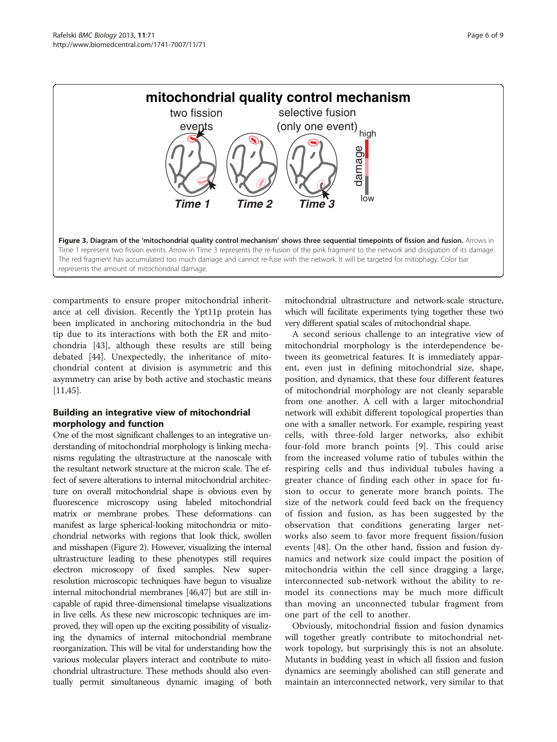<span id="page-5-0"></span>

compartments to ensure proper mitochondrial inheritance at cell division. Recently the Ypt11p protein has been implicated in anchoring mitochondria in the bud tip due to its interactions with both the ER and mitochondria [[43](#page-7-0)], although these results are still being debated [[44\]](#page-7-0). Unexpectedly, the inheritance of mitochondrial content at division is asymmetric and this asymmetry can arise by both active and stochastic means [[11,45\]](#page-7-0).

# Building an integrative view of mitochondrial morphology and function

One of the most significant challenges to an integrative understanding of mitochondrial morphology is linking mechanisms regulating the ultrastructure at the nanoscale with the resultant network structure at the micron scale. The effect of severe alterations to internal mitochondrial architecture on overall mitochondrial shape is obvious even by fluorescence microscopy using labeled mitochondrial matrix or membrane probes. These deformations can manifest as large spherical-looking mitochondria or mitochondrial networks with regions that look thick, swollen and misshapen (Figure [2\)](#page-2-0). However, visualizing the internal ultrastructure leading to these phenotypes still requires electron microscopy of fixed samples. New superresolution microscopic techniques have begun to visualize internal mitochondrial membranes [\[46,47\]](#page-7-0) but are still incapable of rapid three-dimensional timelapse visualizations in live cells. As these new microscopic techniques are improved, they will open up the exciting possibility of visualizing the dynamics of internal mitochondrial membrane reorganization. This will be vital for understanding how the various molecular players interact and contribute to mitochondrial ultrastructure. These methods should also eventually permit simultaneous dynamic imaging of both

mitochondrial ultrastructure and network-scale structure, which will facilitate experiments tying together these two very different spatial scales of mitochondrial shape.

A second serious challenge to an integrative view of mitochondrial morphology is the interdependence between its geometrical features. It is immediately apparent, even just in defining mitochondrial size, shape, position, and dynamics, that these four different features of mitochondrial morphology are not cleanly separable from one another. A cell with a larger mitochondrial network will exhibit different topological properties than one with a smaller network. For example, respiring yeast cells, with three-fold larger networks, also exhibit four-fold more branch points [[9\]](#page-7-0). This could arise from the increased volume ratio of tubules within the respiring cells and thus individual tubules having a greater chance of finding each other in space for fusion to occur to generate more branch points. The size of the network could feed back on the frequency of fission and fusion, as has been suggested by the observation that conditions generating larger networks also seem to favor more frequent fission/fusion events [\[48](#page-7-0)]. On the other hand, fission and fusion dynamics and network size could impact the position of mitochondria within the cell since dragging a large, interconnected sub-network without the ability to remodel its connections may be much more difficult than moving an unconnected tubular fragment from one part of the cell to another.

Obviously, mitochondrial fission and fusion dynamics will together greatly contribute to mitochondrial network topology, but surprisingly this is not an absolute. Mutants in budding yeast in which all fission and fusion dynamics are seemingly abolished can still generate and maintain an interconnected network, very similar to that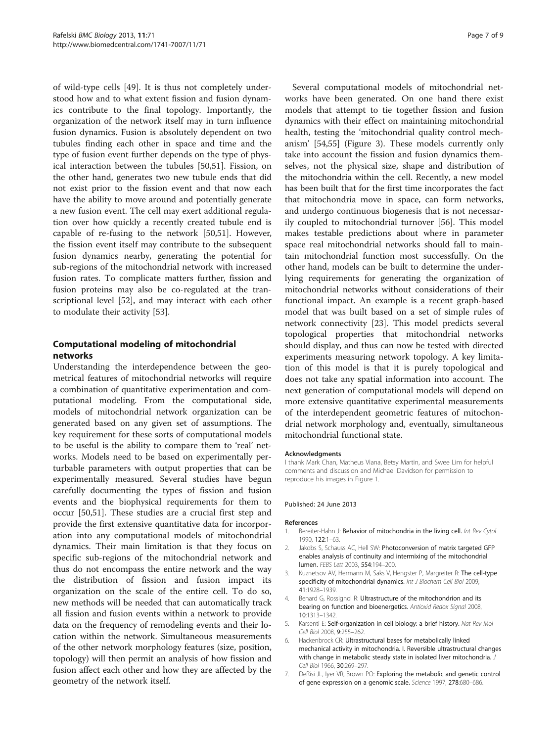<span id="page-6-0"></span>of wild-type cells [[49](#page-7-0)]. It is thus not completely understood how and to what extent fission and fusion dynamics contribute to the final topology. Importantly, the organization of the network itself may in turn influence fusion dynamics. Fusion is absolutely dependent on two tubules finding each other in space and time and the type of fusion event further depends on the type of physical interaction between the tubules [\[50,51](#page-7-0)]. Fission, on the other hand, generates two new tubule ends that did not exist prior to the fission event and that now each have the ability to move around and potentially generate a new fusion event. The cell may exert additional regulation over how quickly a recently created tubule end is capable of re-fusing to the network [\[50,51\]](#page-7-0). However, the fission event itself may contribute to the subsequent fusion dynamics nearby, generating the potential for sub-regions of the mitochondrial network with increased fusion rates. To complicate matters further, fission and fusion proteins may also be co-regulated at the transcriptional level [\[52](#page-7-0)], and may interact with each other to modulate their activity [[53](#page-7-0)].

# Computational modeling of mitochondrial networks

Understanding the interdependence between the geometrical features of mitochondrial networks will require a combination of quantitative experimentation and computational modeling. From the computational side, models of mitochondrial network organization can be generated based on any given set of assumptions. The key requirement for these sorts of computational models to be useful is the ability to compare them to 'real' networks. Models need to be based on experimentally perturbable parameters with output properties that can be experimentally measured. Several studies have begun carefully documenting the types of fission and fusion events and the biophysical requirements for them to occur [[50,51\]](#page-7-0). These studies are a crucial first step and provide the first extensive quantitative data for incorporation into any computational models of mitochondrial dynamics. Their main limitation is that they focus on specific sub-regions of the mitochondrial network and thus do not encompass the entire network and the way the distribution of fission and fusion impact its organization on the scale of the entire cell. To do so, new methods will be needed that can automatically track all fission and fusion events within a network to provide data on the frequency of remodeling events and their location within the network. Simultaneous measurements of the other network morphology features (size, position, topology) will then permit an analysis of how fission and fusion affect each other and how they are affected by the geometry of the network itself.

Several computational models of mitochondrial networks have been generated. On one hand there exist models that attempt to tie together fission and fusion dynamics with their effect on maintaining mitochondrial health, testing the 'mitochondrial quality control mechanism' [[54,55\]](#page-8-0) (Figure [3\)](#page-5-0). These models currently only take into account the fission and fusion dynamics themselves, not the physical size, shape and distribution of the mitochondria within the cell. Recently, a new model has been built that for the first time incorporates the fact that mitochondria move in space, can form networks, and undergo continuous biogenesis that is not necessarily coupled to mitochondrial turnover [[56](#page-8-0)]. This model makes testable predictions about where in parameter space real mitochondrial networks should fall to maintain mitochondrial function most successfully. On the other hand, models can be built to determine the underlying requirements for generating the organization of mitochondrial networks without considerations of their functional impact. An example is a recent graph-based model that was built based on a set of simple rules of network connectivity [[23](#page-7-0)]. This model predicts several topological properties that mitochondrial networks should display, and thus can now be tested with directed experiments measuring network topology. A key limitation of this model is that it is purely topological and does not take any spatial information into account. The next generation of computational models will depend on more extensive quantitative experimental measurements of the interdependent geometric features of mitochondrial network morphology and, eventually, simultaneous mitochondrial functional state.

#### Acknowledgments

I thank Mark Chan, Matheus Viana, Betsy Martin, and Swee Lim for helpful comments and discussion and Michael Davidson for permission to reproduce his images in Figure [1.](#page-1-0)

#### Published: 24 June 2013

#### References

- Bereiter-Hahn J: Behavior of mitochondria in the living cell. Int Rev Cytol 1990, 122:1–63.
- 2. Jakobs S, Schauss AC, Hell SW: Photoconversion of matrix targeted GFP enables analysis of continuity and intermixing of the mitochondrial lumen. FEBS Lett 2003, 554:194–200.
- 3. Kuznetsov AV, Hermann M, Saks V, Hengster P, Margreiter R: The cell-type specificity of mitochondrial dynamics. Int J Biochem Cell Biol 2009, 41:1928–1939.
- 4. Benard G, Rossignol R: Ultrastructure of the mitochondrion and its bearing on function and bioenergetics. Antioxid Redox Signal 2008, 10:1313–1342.
- 5. Karsenti E: Self-organization in cell biology: a brief history. Nat Rev Mol Cell Biol 2008, 9:255-262
- 6. Hackenbrock CR: Ultrastructural bases for metabolically linked mechanical activity in mitochondria. I. Reversible ultrastructural changes with change in metabolic steady state in isolated liver mitochondria. J Cell Biol 1966, 30:269–297.
- 7. DeRisi JL, Iyer VR, Brown PO: Exploring the metabolic and genetic control of gene expression on a genomic scale. Science 1997, 278:680–686.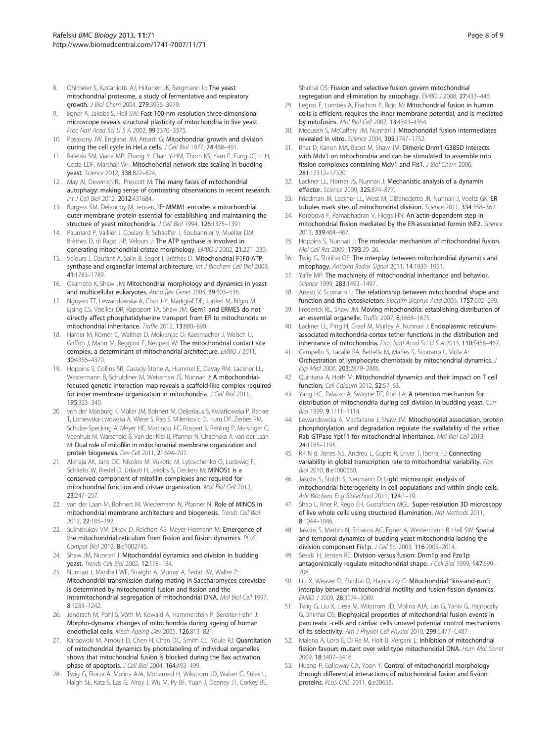- <span id="page-7-0"></span>8. Ohlmeier S, Kastaniotis AJ, Hiltunen JK, Bergmann U: The yeast mitochondrial proteome, a study of fermentative and respiratory growth. J Biol Chem 2004, 279:3956–3979.
- Egner A, Jakobs S, Hell SW: Fast 100-nm resolution three-dimensional microscope reveals structural plasticity of mitochondria in live yeast. Proc Natl Acad Sci U S A 2002, 99:3370–3375.
- 10. Posakony JW, England JM, Attardi G: Mitochondrial growth and division during the cell cycle in HeLa cells. J Cell Biol 1977, 74:468-491.
- 11. Rafelski SM, Viana MP, Zhang Y, Chan Y-HM, Thorn KS, Yam P, Fung JC, Li H, Costa LDF, Marshall WF: Mitochondrial network size scaling in budding yeast. Science 2012, 338:822–824.
- 12. May AI, Devenish RJ, Prescott M: The many faces of mitochondrial autophagy: making sense of contrasting observations in recent research. Int J Cell Biol 2012, 2012:431684.
- 13. Burgess SM, Delannoy M, Jensen RE: MMM1 encodes a mitochondrial outer membrane protein essential for establishing and maintaining the structure of yeast mitochondria. J Cell Biol 1994, 126:1375-1391.
- 14. Paumard P, Vaillier J, Coulary B, Schaeffer J, Soubannier V, Mueller DM, Brèthes D, di Rago J-P, Velours J: The ATP synthase is involved in generating mitochondrial cristae morphology. EMBO J 2002, 21:221–230.
- 15. Velours J, Dautant A, Salin B, Sagot I, Brèthes D: Mitochondrial F1F0-ATP synthase and organellar internal architecture. Int J Biochem Cell Biol 2009, 41:1783–1789.
- 16. Okamoto K, Shaw JM: Mitochondrial morphology and dynamics in yeast and multicellular eukaryotes. Annu Rev Genet 2005, 39:503–536.
- 17. Nguyen TT, Lewandowska A, Choi J-Y, Markgraf DF, Junker M, Bilgin M, Ejsing CS, Voelker DR, Rapoport TA, Shaw JM: Gem1 and ERMES do not directly affect phosphatidylserine transport from ER to mitochondria or mitochondrial inheritance. Traffic 2012, 13:880–890.
- 18. Harner M, Körner C, Walther D, Mokranjac D, Kaesmacher J, Welsch U, Griffith J, Mann M, Reggiori F, Neupert W: The mitochondrial contact site complex, a determinant of mitochondrial architecture. EMBO J 2011, 30:4356–4370.
- 19. Hoppins S, Collins SR, Cassidy-Stone A, Hummel E, DeVay RM, Lackner LL, Westermann B, Schuldiner M, Weissman JS, Nunnari J: A mitochondrialfocused genetic interaction map reveals a scaffold-like complex required for inner membrane organization in mitochondria. J Cell Biol 2011, 195:323–340.
- 20. von der Malsburg K, Müller JM, Bohnert M, Oeljeklaus S, Kwiatkowska P, Becker T, Loniewska-Lwowska A, Wiese S, Rao S, Milenkovic D, Hutu DP, Zerbes RM, Schulze-Specking A, Meyer HE, Martinou J-C, Rospert S, Rehling P, Meisinger C, Veenhuis M, Warscheid B, Van der Klei IJ, Pfanner N, Chacinska A, van der Laan M: Dual role of mitofilin in mitochondrial membrane organization and protein biogenesis. Dev Cell 2011, 21:694–707.
- 21. Alkhaja AK, Jans DC, Nikolov M, Vukotic M, Lytovchenko O, Ludewig F, Schliebs W, Riedel D, Urlaub H, Jakobs S, Deckers M: MINOS1 is a conserved component of mitofilin complexes and required for mitochondrial function and cristae organization. Mol Biol Cell 2012, 23:247–257.
- 22. van der Laan M, Bohnert M, Wiedemann N, Pfanner N: Role of MINOS in mitochondrial membrane architecture and biogenesis. Trends Cell Biol 2012, 22:185–192.
- 23. Sukhorukov VM, Dikov D, Reichert AS, Meyer-Hermann M: Emergence of the mitochondrial reticulum from fission and fusion dynamics. PLoS Comput Biol 2012, 8:e1002745.
- 24. Shaw JM, Nunnari J: Mitochondrial dynamics and division in budding yeast. Trends Cell Biol 2002, 12:178–184.
- 25. Nunnari J, Marshall WF, Straight A, Murray A, Sedat JW, Walter P: Mitochondrial transmission during mating in Saccharomyces cerevisiae is determined by mitochondrial fusion and fission and the intramitochondrial segregation of mitochondrial DNA. Mol Biol Cell 1997, 8:1233–1242.
- 26. Jendrach M, Pohl S, Vöth M, Kowald A, Hammerstein P, Bereiter-Hahn J: Morpho-dynamic changes of mitochondria during ageing of human endothelial cells. Mech Ageing Dev 2005, 126:813–821.
- 27. Karbowski M, Arnoult D, Chen H, Chan DC, Smith CL, Youle RJ: Quantitation of mitochondrial dynamics by photolabeling of individual organelles shows that mitochondrial fusion is blocked during the Bax activation phase of apoptosis. J Cell Biol 2004, 164:493–499.
- 28. Twig G, Elorza A, Molina AJA, Mohamed H, Wikstrom JD, Walzer G, Stiles L, Haigh SE, Katz S, Las G, Alroy J, Wu M, Py BF, Yuan J, Deeney JT, Corkey BE,

Shirihai OS: Fission and selective fusion govern mitochondrial segregation and elimination by autophagy. EMBO J 2008, 27:433–446.

- 29. Legros F, Lombès A, Frachon P, Rojo M: Mitochondrial fusion in human cells is efficient, requires the inner membrane potential, and is mediated by mitofusins. Mol Biol Cell 2002, 13:4343–4354.
- 30. Meeusen S, McCaffery JM, Nunnari J: Mitochondrial fusion intermediates revealed in vitro. Science 2004, 305:1747–1752.
- 31. Bhar D, Karren MA, Babst M, Shaw JM: Dimeric Dnm1-G385D interacts with Mdv1 on mitochondria and can be stimulated to assemble into fission complexes containing Mdv1 and Fis1. J Biol Chem 2006, 281:17312–17320.
- 32. Lackner LL, Horner JS, Nunnari J: Mechanistic analysis of a dynamin effector. Science 2009, 325:874–877.
- 33. Friedman JR, Lackner LL, West M, DiBenedetto JR, Nunnari J, Voeltz GK: ER tubules mark sites of mitochondrial division. Science 2011, 334:358–362.
- 34. Korobova F, Ramabhadran V, Higgs HN: An actin-dependent step in mitochondrial fission mediated by the ER-associated formin INF2. Science 2013, 339:464–467.
- 35. Hoppins S, Nunnari J: The molecular mechanism of mitochondrial fusion. Mol Cell Res 2009, 1793:20–26.
- 36. Twig G, Shirihai OS: The interplay between mitochondrial dynamics and mitophagy. Antioxid Redox Signal 2011, 14:1939–1951.
- 37. Yaffe MP: The machinery of mitochondrial inheritance and behavior. Science 1999, 283:1493–1497.
- Anesti V, Scorrano L: The relationship between mitochondrial shape and function and the cytoskeleton. Biochim Biophys Acta 2006, 1757:692–699.
- 39. Frederick RL, Shaw JM: Moving mitochondria: establishing distribution of an essential organelle. Traffic 2007, 8:1668–1675.
- 40. Lackner LL, Ping H, Graef M, Murley A, Nunnari J: Endoplasmic reticulumassociated mitochondria-cortex tether functions in the distribution and inheritance of mitochondria. Proc Natl Acad Sci U S A 2013, 110:E458–467.
- 41. Campello S, Lacalle RA, Bettella M, Mañes S, Scorrano L, Viola A: Orchestration of lymphocyte chemotaxis by mitochondrial dynamics. J Exp Med 2006, 203:2879–2886.
- 42. Quintana A, Hoth M: Mitochondrial dynamics and their impact on T cell function. Cell Calcium 2012, 52:57–63.
- 43. Yang HC, Palazzo A, Swayne TC, Pon LA: A retention mechanism for distribution of mitochondria during cell division in budding yeast. Curr Biol 1999, 9:1111–1114.
- 44. Lewandowska A, Macfarlane J, Shaw JM: Mitochondrial association, protein phosphorylation, and degradation regulate the availability of the active Rab GTPase Ypt11 for mitochondrial inheritance. Mol Biol Cell 2013, 24:1185–1195.
- 45. RP N d, Jones NS, Andreu L, Gupta R, Enver T, Iborra FJ: Connecting variability in global transcription rate to mitochondrial variability. Plos Biol 2010, 8:e1000560.
- 46. Jakobs S, Stoldt S, Neumann D: Light microscopic analysis of mitochondrial heterogeneity in cell populations and within single cells. Adv Biochem Eng Biotechnol 2011, 124:1–19.
- 47. Shao L, Kner P, Rego EH, Gustafsson MGL: Super-resolution 3D microscopy of live whole cells using structured illumination. Nat Methods 2011, 8:1044–1046.
- 48. Jakobs S, Martini N, Schauss AC, Egner A, Westermann B, Hell SW: Spatial and temporal dynamics of budding yeast mitochondria lacking the division component Fis1p. J Cell Sci 2003, 116:2005–2014.
- 49. Sesaki H, Jensen RE: Division versus fusion: Dnm1p and Fzo1p antagonistically regulate mitochondrial shape. J Cell Biol 1999, 147:699-706.
- 50. Liu X, Weaver D, Shirihai O, Hajnóczky G: Mitochondrial "kiss-and-run": interplay between mitochondrial motility and fusion-fission dynamics. EMBO J 2009, 28:3074–3089.
- 51. Twig G, Liu X, Liesa M, Wikstrom JD, Molina AJA, Las G, Yaniv G, Hajnoczky G, Shirihai OS: Biophysical properties of mitochondrial fusion events in pancreatic -cells and cardiac cells unravel potential control mechanisms of its selectivity. Am J Physiol Cell Physiol 2010, 299:C477–C487.
- 52. Malena A, Loro E, Di Re M, Holt IJ, Vergani L: Inhibition of mitochondrial fission favours mutant over wild-type mitochondrial DNA. Hum Mol Genet 2009, 18:3407–3416.
- 53. Huang P, Galloway CA, Yoon Y: Control of mitochondrial morphology through differential interactions of mitochondrial fusion and fission proteins. PLoS ONE 2011, 6:e20655.